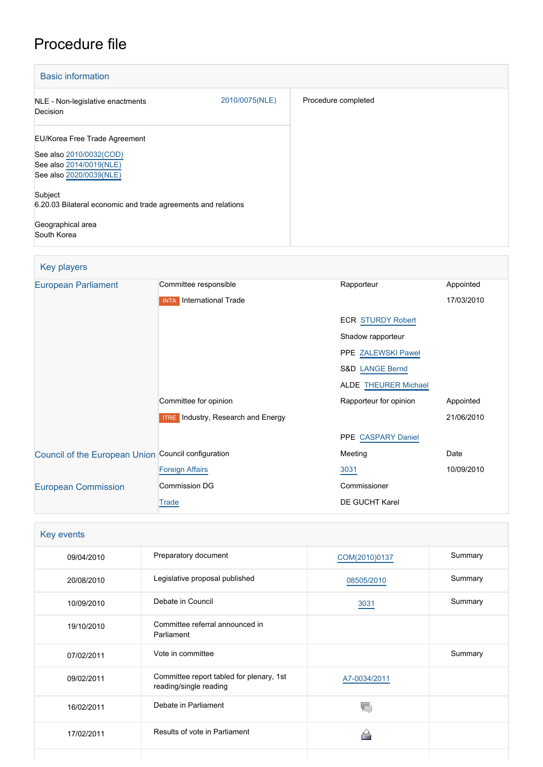# Procedure file

| <b>Basic information</b>                                                                                       |                |                     |
|----------------------------------------------------------------------------------------------------------------|----------------|---------------------|
| NLE - Non-legislative enactments<br>Decision                                                                   | 2010/0075(NLE) | Procedure completed |
| EU/Korea Free Trade Agreement<br>See also 2010/0032(COD)<br>See also 2014/0019(NLE)<br>See also 2020/0039(NLE) |                |                     |
| Subject<br>6.20.03 Bilateral economic and trade agreements and relations<br>Geographical area<br>South Korea   |                |                     |

# Key players

| <b>European Parliament</b>                          | Committee responsible                     | Rapporteur                  | Appointed  |
|-----------------------------------------------------|-------------------------------------------|-----------------------------|------------|
|                                                     | <b>INTA</b> International Trade           |                             | 17/03/2010 |
|                                                     |                                           | <b>ECR STURDY Robert</b>    |            |
|                                                     |                                           | Shadow rapporteur           |            |
|                                                     |                                           | PPE ZALEWSKI Paweł          |            |
|                                                     |                                           | <b>S&amp;D LANGE Bernd</b>  |            |
|                                                     |                                           | <b>ALDE THEURER Michael</b> |            |
|                                                     | Committee for opinion                     | Rapporteur for opinion      | Appointed  |
|                                                     | <b>ITRE</b> Industry, Research and Energy |                             | 21/06/2010 |
|                                                     |                                           | PPE CASPARY Daniel          |            |
| Council of the European Union Council configuration |                                           | Meeting                     | Date       |
|                                                     | <b>Foreign Affairs</b>                    | 3031                        | 10/09/2010 |
| <b>European Commission</b>                          | Commission DG                             | Commissioner                |            |
|                                                     | Trade                                     | DE GUCHT Karel              |            |
|                                                     |                                           |                             |            |

| Key events |                                                                    |               |         |
|------------|--------------------------------------------------------------------|---------------|---------|
| 09/04/2010 | Preparatory document                                               | COM(2010)0137 | Summary |
| 20/08/2010 | Legislative proposal published                                     | 08505/2010    | Summary |
| 10/09/2010 | Debate in Council                                                  | 3031          | Summary |
| 19/10/2010 | Committee referral announced in<br>Parliament                      |               |         |
| 07/02/2011 | Vote in committee                                                  |               | Summary |
| 09/02/2011 | Committee report tabled for plenary, 1st<br>reading/single reading | A7-0034/2011  |         |
| 16/02/2011 | Debate in Parliament                                               |               |         |
| 17/02/2011 | Results of vote in Parliament                                      |               |         |
|            |                                                                    |               |         |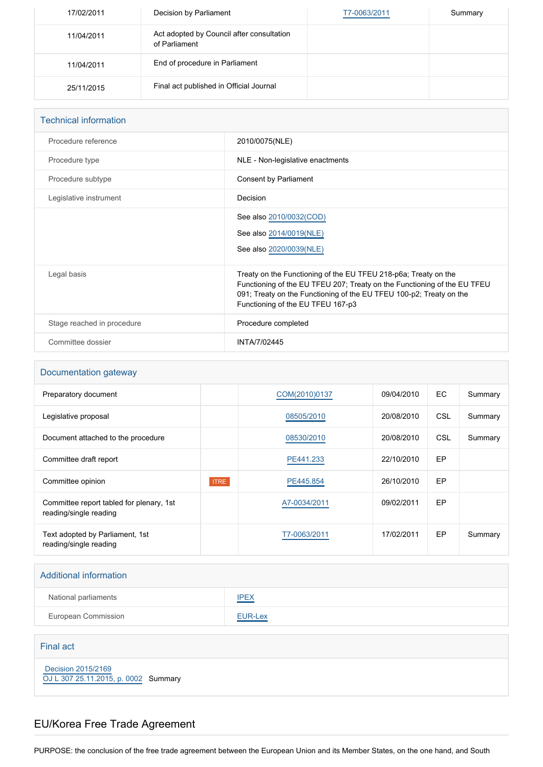| 17/02/2011 | Decision by Parliament                                     | T7-0063/2011 | Summary |
|------------|------------------------------------------------------------|--------------|---------|
| 11/04/2011 | Act adopted by Council after consultation<br>of Parliament |              |         |
| 11/04/2011 | End of procedure in Parliament                             |              |         |
| 25/11/2015 | Final act published in Official Journal                    |              |         |

| <b>Technical information</b> |                                                                                                                                                                                                                                                         |  |
|------------------------------|---------------------------------------------------------------------------------------------------------------------------------------------------------------------------------------------------------------------------------------------------------|--|
| Procedure reference          | 2010/0075(NLE)                                                                                                                                                                                                                                          |  |
| Procedure type               | NLE - Non-legislative enactments                                                                                                                                                                                                                        |  |
| Procedure subtype            | Consent by Parliament                                                                                                                                                                                                                                   |  |
| Legislative instrument       | Decision                                                                                                                                                                                                                                                |  |
|                              | See also 2010/0032(COD)<br>See also 2014/0019(NLE)<br>See also 2020/0039(NLE)                                                                                                                                                                           |  |
| Legal basis                  | Treaty on the Functioning of the EU TFEU 218-p6a; Treaty on the<br>Functioning of the EU TFEU 207; Treaty on the Functioning of the EU TFEU<br>091; Treaty on the Functioning of the EU TFEU 100-p2; Treaty on the<br>Functioning of the EU TFEU 167-p3 |  |
| Stage reached in procedure   | Procedure completed                                                                                                                                                                                                                                     |  |
| Committee dossier            | INTA/7/02445                                                                                                                                                                                                                                            |  |

#### Documentation gateway

| Preparatory document                                               |             | COM(2010)0137 | 09/04/2010 | EC. | Summary |
|--------------------------------------------------------------------|-------------|---------------|------------|-----|---------|
| Legislative proposal                                               |             | 08505/2010    | 20/08/2010 | CSL | Summary |
| Document attached to the procedure                                 |             | 08530/2010    | 20/08/2010 | CSL | Summary |
| Committee draft report                                             |             | PE441.233     | 22/10/2010 | EP  |         |
| Committee opinion                                                  | <b>ITRE</b> | PE445.854     | 26/10/2010 | EP  |         |
| Committee report tabled for plenary, 1st<br>reading/single reading |             | A7-0034/2011  | 09/02/2011 | EP  |         |
| Text adopted by Parliament, 1st<br>reading/single reading          |             | T7-0063/2011  | 17/02/2011 | EP  | Summary |

#### Additional information

| National parliaments | <b>IPEX</b>                            |
|----------------------|----------------------------------------|
| European Commission  | EUR-Lex<br>and the company's company's |

#### Final act

 [Decision 2015/2169](https://eur-lex.europa.eu/smartapi/cgi/sga_doc?smartapi!celexplus!prod!CELEXnumdoc&lg=EN&numdoc=32015D2169) [OJ L 307 25.11.2015, p. 0002](https://eur-lex.europa.eu/legal-content/EN/TXT/?uri=OJ:L:2015:307:TOC) Summary

# EU/Korea Free Trade Agreement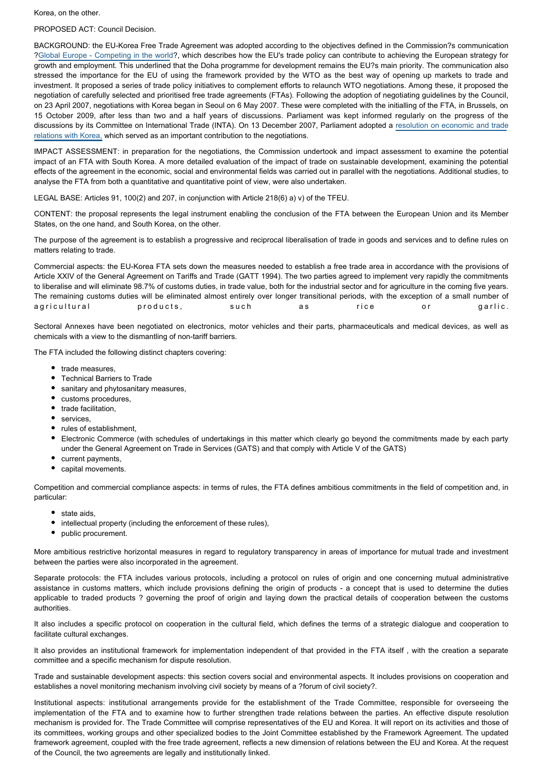Korea, on the other.

PROPOSED ACT: Council Decision.

BACKGROUND: the EU-Korea Free Trade Agreement was adopted according to the objectives defined in the Commission?s communication ?[Global Europe - Competing in the world](http://www.europarl.europa.eu/oeil/FindByProcnum.do?lang=en&procnum=INI/2006/2292)?, which describes how the EU's trade policy can contribute to achieving the European strategy for growth and employment. This underlined that the Doha programme for development remains the EU?s main priority. The communication also stressed the importance for the EU of using the framework provided by the WTO as the best way of opening up markets to trade and investment. It proposed a series of trade policy initiatives to complement efforts to relaunch WTO negotiations. Among these, it proposed the negotiation of carefully selected and prioritised free trade agreements (FTAs). Following the adoption of negotiating guidelines by the Council, on 23 April 2007, negotiations with Korea began in Seoul on 6 May 2007. These were completed with the initialling of the FTA, in Brussels, on 15 October 2009, after less than two and a half years of discussions. Parliament was kept informed regularly on the progress of the discussions by its Committee on International Trade (INTA). On 13 December 2007, Parliament adopted a [resolution on economic and trade](http://www.europarl.europa.eu/oeil/FindByProcnum.do?lang=en&procnum=INI/2007/2186) [relations with Korea,](http://www.europarl.europa.eu/oeil/FindByProcnum.do?lang=en&procnum=INI/2007/2186) which served as an important contribution to the negotiations.

IMPACT ASSESSMENT: in preparation for the negotiations, the Commission undertook and impact assessment to examine the potential impact of an FTA with South Korea. A more detailed evaluation of the impact of trade on sustainable development, examining the potential effects of the agreement in the economic, social and environmental fields was carried out in parallel with the negotiations. Additional studies, to analyse the FTA from both a quantitative and quantitative point of view, were also undertaken.

LEGAL BASE: Articles 91, 100(2) and 207, in conjunction with Article 218(6) a) v) of the TFEU.

CONTENT: the proposal represents the legal instrument enabling the conclusion of the FTA between the European Union and its Member States, on the one hand, and South Korea, on the other.

The purpose of the agreement is to establish a progressive and reciprocal liberalisation of trade in goods and services and to define rules on matters relating to trade.

Commercial aspects: the EU-Korea FTA sets down the measures needed to establish a free trade area in accordance with the provisions of Article XXIV of the General Agreement on Tariffs and Trade (GATT 1994). The two parties agreed to implement very rapidly the commitments to liberalise and will eliminate 98.7% of customs duties, in trade value, both for the industrial sector and for agriculture in the coming five years. The remaining customs duties will be eliminated almost entirely over longer transitional periods, with the exception of a small number of agricultural products, such as rice or garlic.

Sectoral Annexes have been negotiated on electronics, motor vehicles and their parts, pharmaceuticals and medical devices, as well as chemicals with a view to the dismantling of non-tariff barriers.

The FTA included the following distinct chapters covering:

- trade measures.
- Technical Barriers to Trade
- $\bullet$ sanitary and phytosanitary measures,
- customs procedures,
- trade facilitation,
- services,
- rules of establishment,
- Electronic Commerce (with schedules of undertakings in this matter which clearly go beyond the commitments made by each party under the General Agreement on Trade in Services (GATS) and that comply with Article V of the GATS)
- current payments,
- capital movements.

Competition and commercial compliance aspects: in terms of rules, the FTA defines ambitious commitments in the field of competition and, in particular:

- state aids
- intellectual property (including the enforcement of these rules),
- public procurement.

More ambitious restrictive horizontal measures in regard to regulatory transparency in areas of importance for mutual trade and investment between the parties were also incorporated in the agreement.

Separate protocols: the FTA includes various protocols, including a protocol on rules of origin and one concerning mutual administrative assistance in customs matters, which include provisions defining the origin of products - a concept that is used to determine the duties applicable to traded products ? governing the proof of origin and laying down the practical details of cooperation between the customs authorities.

It also includes a specific protocol on cooperation in the cultural field, which defines the terms of a strategic dialogue and cooperation to facilitate cultural exchanges.

It also provides an institutional framework for implementation independent of that provided in the FTA itself , with the creation a separate committee and a specific mechanism for dispute resolution.

Trade and sustainable development aspects: this section covers social and environmental aspects. It includes provisions on cooperation and establishes a novel monitoring mechanism involving civil society by means of a ?forum of civil society?.

Institutional aspects: institutional arrangements provide for the establishment of the Trade Committee, responsible for overseeing the implementation of the FTA and to examine how to further strengthen trade relations between the parties. An effective dispute resolution mechanism is provided for. The Trade Committee will comprise representatives of the EU and Korea. It will report on its activities and those of its committees, working groups and other specialized bodies to the Joint Committee established by the Framework Agreement. The updated framework agreement, coupled with the free trade agreement, reflects a new dimension of relations between the EU and Korea. At the request of the Council, the two agreements are legally and institutionally linked.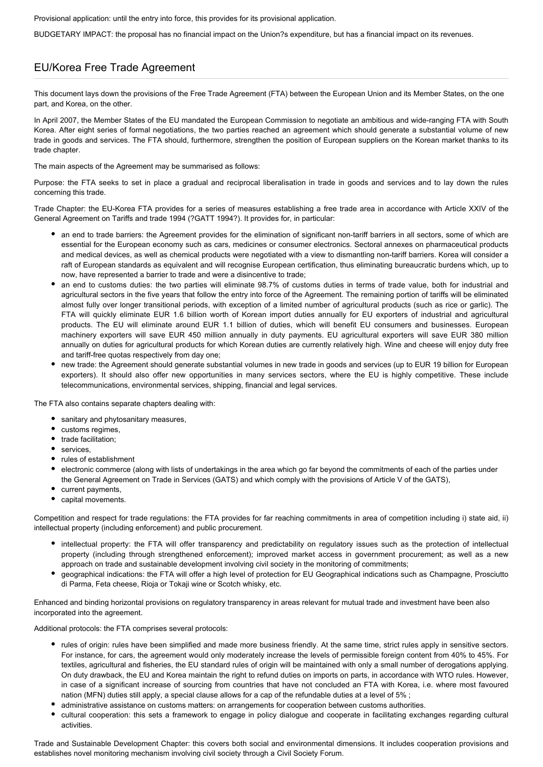Provisional application: until the entry into force, this provides for its provisional application.

BUDGETARY IMPACT: the proposal has no financial impact on the Union?s expenditure, but has a financial impact on its revenues.

#### EU/Korea Free Trade Agreement

This document lays down the provisions of the Free Trade Agreement (FTA) between the European Union and its Member States, on the one part, and Korea, on the other.

In April 2007, the Member States of the EU mandated the European Commission to negotiate an ambitious and wide-ranging FTA with South Korea. After eight series of formal negotiations, the two parties reached an agreement which should generate a substantial volume of new trade in goods and services. The FTA should, furthermore, strengthen the position of European suppliers on the Korean market thanks to its trade chapter.

The main aspects of the Agreement may be summarised as follows:

Purpose: the FTA seeks to set in place a gradual and reciprocal liberalisation in trade in goods and services and to lay down the rules concerning this trade.

Trade Chapter: the EU-Korea FTA provides for a series of measures establishing a free trade area in accordance with Article XXIV of the General Agreement on Tariffs and trade 1994 (?GATT 1994?). It provides for, in particular:

- an end to trade barriers: the Agreement provides for the elimination of significant non-tariff barriers in all sectors, some of which are essential for the European economy such as cars, medicines or consumer electronics. Sectoral annexes on pharmaceutical products and medical devices, as well as chemical products were negotiated with a view to dismantling non-tariff barriers. Korea will consider a raft of European standards as equivalent and will recognise European certification, thus eliminating bureaucratic burdens which, up to now, have represented a barrier to trade and were a disincentive to trade;
- an end to customs duties: the two parties will eliminate 98.7% of customs duties in terms of trade value, both for industrial and agricultural sectors in the five years that follow the entry into force of the Agreement. The remaining portion of tariffs will be eliminated almost fully over longer transitional periods, with exception of a limited number of agricultural products (such as rice or garlic). The FTA will quickly eliminate EUR 1.6 billion worth of Korean import duties annually for EU exporters of industrial and agricultural products. The EU will eliminate around EUR 1.1 billion of duties, which will benefit EU consumers and businesses. European machinery exporters will save EUR 450 million annually in duty payments. EU agricultural exporters will save EUR 380 million annually on duties for agricultural products for which Korean duties are currently relatively high. Wine and cheese will enjoy duty free and tariff-free quotas respectively from day one;
- new trade: the Agreement should generate substantial volumes in new trade in goods and services (up to EUR 19 billion for European exporters). It should also offer new opportunities in many services sectors, where the EU is highly competitive. These include telecommunications, environmental services, shipping, financial and legal services.

The FTA also contains separate chapters dealing with:

- sanitary and phytosanitary measures,
- customs regimes,
- trade facilitation:
- services,
- rules of establishment
- electronic commerce (along with lists of undertakings in the area which go far beyond the commitments of each of the parties under the General Agreement on Trade in Services (GATS) and which comply with the provisions of Article V of the GATS),
- current payments,
- capital movements.

Competition and respect for trade regulations: the FTA provides for far reaching commitments in area of competition including i) state aid, ii) intellectual property (including enforcement) and public procurement.

- intellectual property: the FTA will offer transparency and predictability on regulatory issues such as the protection of intellectual property (including through strengthened enforcement); improved market access in government procurement; as well as a new approach on trade and sustainable development involving civil society in the monitoring of commitments;
- geographical indications: the FTA will offer a high level of protection for EU Geographical indications such as Champagne, Prosciutto di Parma, Feta cheese, Rioja or Tokaji wine or Scotch whisky, etc.

Enhanced and binding horizontal provisions on regulatory transparency in areas relevant for mutual trade and investment have been also incorporated into the agreement.

Additional protocols: the FTA comprises several protocols:

- rules of origin: rules have been simplified and made more business friendly. At the same time, strict rules apply in sensitive sectors. For instance, for cars, the agreement would only moderately increase the levels of permissible foreign content from 40% to 45%. For textiles, agricultural and fisheries, the EU standard rules of origin will be maintained with only a small number of derogations applying. On duty drawback, the EU and Korea maintain the right to refund duties on imports on parts, in accordance with WTO rules. However, in case of a significant increase of sourcing from countries that have not concluded an FTA with Korea, i.e. where most favoured nation (MFN) duties still apply, a special clause allows for a cap of the refundable duties at a level of 5% ;
- administrative assistance on customs matters: on arrangements for cooperation between customs authorities.
- cultural cooperation: this sets a framework to engage in policy dialogue and cooperate in facilitating exchanges regarding cultural activities.

Trade and Sustainable Development Chapter: this covers both social and environmental dimensions. It includes cooperation provisions and establishes novel monitoring mechanism involving civil society through a Civil Society Forum.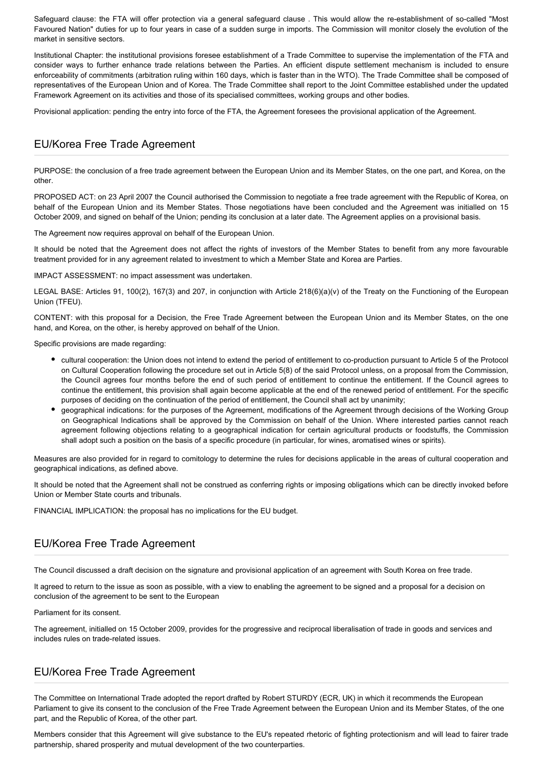Safeguard clause: the FTA will offer protection via a general safeguard clause . This would allow the re-establishment of so-called "Most Favoured Nation" duties for up to four years in case of a sudden surge in imports. The Commission will monitor closely the evolution of the market in sensitive sectors.

Institutional Chapter: the institutional provisions foresee establishment of a Trade Committee to supervise the implementation of the FTA and consider ways to further enhance trade relations between the Parties. An efficient dispute settlement mechanism is included to ensure enforceability of commitments (arbitration ruling within 160 days, which is faster than in the WTO). The Trade Committee shall be composed of representatives of the European Union and of Korea. The Trade Committee shall report to the Joint Committee established under the updated Framework Agreement on its activities and those of its specialised committees, working groups and other bodies.

Provisional application: pending the entry into force of the FTA, the Agreement foresees the provisional application of the Agreement.

### EU/Korea Free Trade Agreement

PURPOSE: the conclusion of a free trade agreement between the European Union and its Member States, on the one part, and Korea, on the other.

PROPOSED ACT: on 23 April 2007 the Council authorised the Commission to negotiate a free trade agreement with the Republic of Korea, on behalf of the European Union and its Member States. Those negotiations have been concluded and the Agreement was initialled on 15 October 2009, and signed on behalf of the Union; pending its conclusion at a later date. The Agreement applies on a provisional basis.

The Agreement now requires approval on behalf of the European Union.

It should be noted that the Agreement does not affect the rights of investors of the Member States to benefit from any more favourable treatment provided for in any agreement related to investment to which a Member State and Korea are Parties.

IMPACT ASSESSMENT: no impact assessment was undertaken.

LEGAL BASE: Articles 91, 100(2), 167(3) and 207, in conjunction with Article 218(6)(a)(v) of the Treaty on the Functioning of the European Union (TFEU).

CONTENT: with this proposal for a Decision, the Free Trade Agreement between the European Union and its Member States, on the one hand, and Korea, on the other, is hereby approved on behalf of the Union.

Specific provisions are made regarding:

- cultural cooperation: the Union does not intend to extend the period of entitlement to co-production pursuant to Article 5 of the Protocol on Cultural Cooperation following the procedure set out in Article 5(8) of the said Protocol unless, on a proposal from the Commission, the Council agrees four months before the end of such period of entitlement to continue the entitlement. If the Council agrees to continue the entitlement, this provision shall again become applicable at the end of the renewed period of entitlement. For the specific purposes of deciding on the continuation of the period of entitlement, the Council shall act by unanimity;
- geographical indications: for the purposes of the Agreement, modifications of the Agreement through decisions of the Working Group on Geographical Indications shall be approved by the Commission on behalf of the Union. Where interested parties cannot reach agreement following objections relating to a geographical indication for certain agricultural products or foodstuffs, the Commission shall adopt such a position on the basis of a specific procedure (in particular, for wines, aromatised wines or spirits).

Measures are also provided for in regard to comitology to determine the rules for decisions applicable in the areas of cultural cooperation and geographical indications, as defined above.

It should be noted that the Agreement shall not be construed as conferring rights or imposing obligations which can be directly invoked before Union or Member State courts and tribunals.

FINANCIAL IMPLICATION: the proposal has no implications for the EU budget.

### EU/Korea Free Trade Agreement

The Council discussed a draft decision on the signature and provisional application of an agreement with South Korea on free trade.

It agreed to return to the issue as soon as possible, with a view to enabling the agreement to be signed and a proposal for a decision on conclusion of the agreement to be sent to the European

Parliament for its consent.

The agreement, initialled on 15 October 2009, provides for the progressive and reciprocal liberalisation of trade in goods and services and includes rules on trade-related issues.

#### EU/Korea Free Trade Agreement

The Committee on International Trade adopted the report drafted by Robert STURDY (ECR, UK) in which it recommends the European Parliament to give its consent to the conclusion of the Free Trade Agreement between the European Union and its Member States, of the one part, and the Republic of Korea, of the other part.

Members consider that this Agreement will give substance to the EU's repeated rhetoric of fighting protectionism and will lead to fairer trade partnership, shared prosperity and mutual development of the two counterparties.